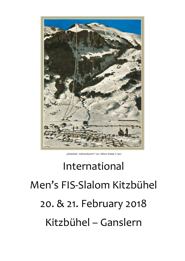

"Kitzbühel - Hahnenkamm" von Alfons Walde © 1927

# International Men's FIS-Slalom Kitzbühel 20. & 21. February 2018 Kitzbühel – Ganslern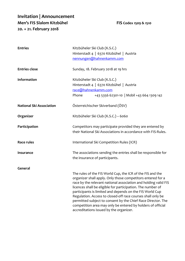# **Invitation | Announcement Men's FIS Slalom Kitzbühel FIS Codex 1509 & 1510 20. + 21. February 2018**

| <b>Entries</b>                  | Kitzbüheler Ski Club (K.S.C.)<br>Hinterstadt 4   6370 Kitzbühel   Austria<br>nennungen@hahnenkamm.com                                                                                                                                                                                                                                                                                                                                                                                                                                                            |
|---------------------------------|------------------------------------------------------------------------------------------------------------------------------------------------------------------------------------------------------------------------------------------------------------------------------------------------------------------------------------------------------------------------------------------------------------------------------------------------------------------------------------------------------------------------------------------------------------------|
| <b>Entries close</b>            | Sunday, 18. February 2018 at 19 hrs                                                                                                                                                                                                                                                                                                                                                                                                                                                                                                                              |
| Information                     | Kitzbüheler Ski Club (K.S.C.)<br>Hinterstadt 4   6370 Kitzbühel   Austria<br>race@hahnenkamm.com<br>Phone<br>+43 5356 62301-10   Mobil +43 664 1309 142                                                                                                                                                                                                                                                                                                                                                                                                          |
| <b>National Ski Association</b> | Österreichischer Skiverband (ÖSV)                                                                                                                                                                                                                                                                                                                                                                                                                                                                                                                                |
| Organizer                       | Kitzbüheler Ski Club (K.S.C.) - 6060                                                                                                                                                                                                                                                                                                                                                                                                                                                                                                                             |
| Participation                   | Competitors may participate provided they are entered by<br>their National Ski Associations in accordance with FIS-Rules.                                                                                                                                                                                                                                                                                                                                                                                                                                        |
| <b>Race rules</b>               | International Ski Competition Rules (ICR)                                                                                                                                                                                                                                                                                                                                                                                                                                                                                                                        |
| Insurance                       | The associations sending the entries shall be responsible for<br>the insurance of participants.                                                                                                                                                                                                                                                                                                                                                                                                                                                                  |
| General                         | The rules of the FIS World Cup, the ICR of the FIS and the<br>organizer shall apply. Only those competitors entered for a<br>race by the relevant national association and holding valid FIS<br>licences shall be eligible for participation. The number of<br>participants is limited and depends on the FIS World Cup<br>Regulation. Access to closed-off race courses shall only be<br>permitted subject to consent by the Chief Race Director. The<br>competition area may only be entered by holders of official<br>accreditations issued by the organizer. |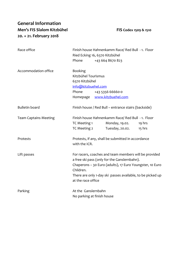# **General Information Men's FIS Slalom Kitzbühel FIS Codex 1509 & 1510 20. + 21. February 2018**

| Race office                  | Phone                                                                                                                                                                                                                                                              | Finish house Hahnenkamm Race/ Red Bull - 1. Floor<br>Ried Ecking 16, 6370 Kitzbühel<br>+43 664 8670 823 |                    |
|------------------------------|--------------------------------------------------------------------------------------------------------------------------------------------------------------------------------------------------------------------------------------------------------------------|---------------------------------------------------------------------------------------------------------|--------------------|
| Accommodation office         | <b>Booking</b><br>Kitzbühel Tourismus<br>6370 Kitzbühel<br>info@kitzbuehel.com<br>Phone                                                                                                                                                                            | +43 5356 66660-0<br>Homepage www.kitzbuehel.com                                                         |                    |
| <b>Bulletin board</b>        |                                                                                                                                                                                                                                                                    | Finish house / Red Bull - entrance stairs (backside)                                                    |                    |
| <b>Team Captains Meeting</b> | TC Meeting 1<br>TC Meeting 2                                                                                                                                                                                                                                       | Finish house Hahnenkamm Race/ Red Bull - 1. Floor<br>Monday, 19.02.<br>Tuesday, 20.02.                  | 19 hrs<br>$15$ hrs |
| Protests                     | Protests, if any, shall be submitted in accordance<br>with the ICR.                                                                                                                                                                                                |                                                                                                         |                    |
| Lift passes                  | For racers, coaches and team members will be provided<br>a free ski pass (only for the Ganslernbahn).<br>Chaperons - 30 Euro (adults), 17 Euro Youngster, 10 Euro<br>Children.<br>There are only 1-day ski passes available, to be picked up<br>at the race office |                                                                                                         |                    |
| Parking                      | At the Ganslernbahn<br>No parking at finish house                                                                                                                                                                                                                  |                                                                                                         |                    |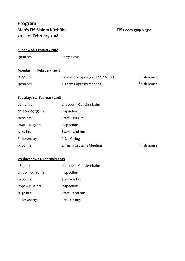## **Program Men's FIS Slalom Kitzbühel FIS Codex 1509 & 1510 20. + 21. February 2018**

#### **Sunday, 18. February 2018**

19:00 hrs Entry close

### **Monday, 19. February 2018**

| 15:00 hrs   | Race office open (until 20:00 hrs) | finish house |
|-------------|------------------------------------|--------------|
| $19:00$ hrs | 1. Team Captains Meeting           | finish house |

#### **Tuesday, 20. February 2018**

| 08:30 hrs           | Lift open - Ganslernbahn |              |
|---------------------|--------------------------|--------------|
| $09:00 - 09:35$ hrs | Inspection               |              |
| 10:00 hrs           | Start – 1st run          |              |
| $11:40 - 12:15$ hrs | Inspection               |              |
| 12:30 hrs           | Start - 2nd run          |              |
| Followed by         | Prize Giving             |              |
| 15:00 hrs           | 2. Team Captains Meeting | finish house |

#### **Wednesday, 21. February 2018**

| 08:30 hrs           | Lift open - Ganslernbahn |
|---------------------|--------------------------|
| $09:00 - 09:35$ hrs | Inspection               |
| 10:00 hrs           | Start – 1st run          |
| $11:40 - 12:15$ hrs | Inspection               |
| 12:30 hrs           | Start – 2nd run          |
| Followed by         | <b>Prize Giving</b>      |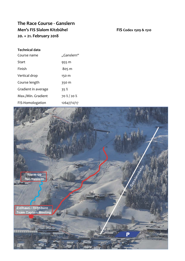# **The Race Course - Ganslern Men's FIS Slalom Kitzbühel FIS Codex 1509 & 1510 20. + 21. February 2018**

#### **Technical data**

| Course name         | "Ganslern"  |
|---------------------|-------------|
| Start               | 955 m       |
| Finish              | 805 m       |
| Vertical drop       | 150 m       |
| Course length       | 350 m       |
| Gradient in average | 35%         |
| Max./Min. Gradient  | 70 % / 20 % |
| FIS-Homologation    | 12647/12/17 |